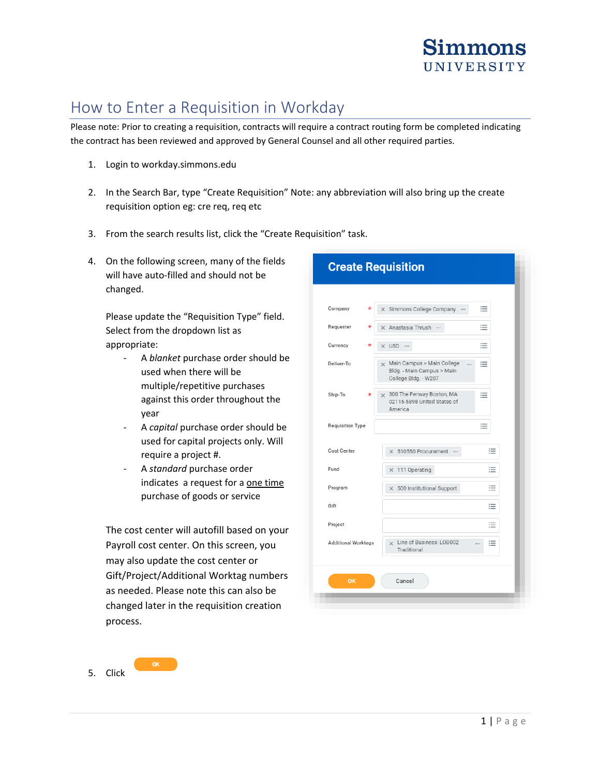

# How to Enter a Requisition in Workday

Please note: Prior to creating a requisition, contracts will require a contract routing form be completed indicating the contract has been reviewed and approved by General Counsel and all other required parties.

- 1. Login to workday.simmons.edu
- 2. In the Search Bar, type "Create Requisition" Note: any abbreviation will also bring up the create requisition option eg: cre req, req etc
- 3. From the search results list, click the "Create Requisition" task.
- 4. On the following screen, many of the fields will have auto-filled and should not be changed.

Please update the "Requisition Type" field. Select from the dropdown list as appropriate:

- A *blanket* purchase order should be used when there will be multiple/repetitive purchases against this order throughout the year
- A *capital* purchase order should be used for capital projects only. Will require a project #.
- A *standard* purchase order indicates a request for a one time purchase of goods or service

The cost center will autofill based on your Payroll cost center. On this screen, you may also update the cost center or Gift/Project/Additional Worktag numbers as needed. Please note this can also be changed later in the requisition creation process.

5. Click

| <b>Create Requisition</b>  |                                                                                                   |
|----------------------------|---------------------------------------------------------------------------------------------------|
| Company<br>*               | 洼<br>X Simmons College Company                                                                    |
| Requester<br>*             | 洼<br>X Anastasia Thrush                                                                           |
| Currency<br>$^\star$       | x USD<br>≔                                                                                        |
| Deliver-To                 | Main Campus > Main College<br>洼<br>$\cdots$<br>Bldg. - Main Campus > Main<br>College Bldg. - W207 |
| Ship-To                    | x 300 The Fenway Boston, MA<br>≔<br>02115-5898 United States of<br>America                        |
| Requisition Type           | ≣                                                                                                 |
| Cost Center                | 這<br>× 510550 Procurement                                                                         |
| Fund                       | 這<br>$\times$ 111 Operating                                                                       |
| Program                    | ≔<br>× 500 Institutional Support                                                                  |
| Gift                       | 洼                                                                                                 |
| Project                    | 洼                                                                                                 |
| <b>Additional Worktags</b> | x Line of Business: LOB002<br>洼<br><br>Traditional                                                |
| OK                         | Cancel                                                                                            |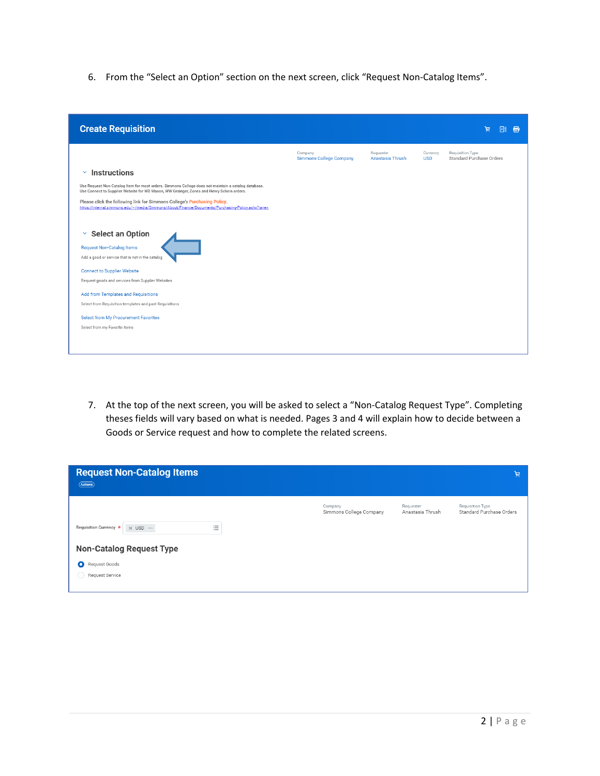6. From the "Select an Option" section on the next screen, click "Request Non-Catalog Items".

| <b>Create Requisition</b>                                                                                                                                                                        |                                           |                               |                        | 憳<br>×≣                                      |
|--------------------------------------------------------------------------------------------------------------------------------------------------------------------------------------------------|-------------------------------------------|-------------------------------|------------------------|----------------------------------------------|
|                                                                                                                                                                                                  | Company<br><b>Simmons College Company</b> | Requester<br>Anastasia Thrush | Currency<br><b>USD</b> | Requisition Type<br>Standard Purchase Orders |
| <b>Instructions</b><br>$\checkmark$                                                                                                                                                              |                                           |                               |                        |                                              |
| Use Request Non-Catalog Item for most orders. Simmons College does not maintain a catalog database.<br>Use Connect to Supplier Website for WB Mason, WW Grainger, Zones and Henry Schein orders. |                                           |                               |                        |                                              |
| Please click the following link for Simmons College's Purchasing Policy.<br>https://internal.simmons.edu/~/media/Simmons/About/Finance/Documents/Purchasing-Policy.ashx?la=en                    |                                           |                               |                        |                                              |
|                                                                                                                                                                                                  |                                           |                               |                        |                                              |
| <b>Select an Option</b><br>×                                                                                                                                                                     |                                           |                               |                        |                                              |
| <b>Request Non-Catalog Items</b>                                                                                                                                                                 |                                           |                               |                        |                                              |
| Add a good or service that is not in the catalog                                                                                                                                                 |                                           |                               |                        |                                              |
| <b>Connect to Supplier Website</b>                                                                                                                                                               |                                           |                               |                        |                                              |
| Request goods and services from Supplier Websites                                                                                                                                                |                                           |                               |                        |                                              |
| Add from Templates and Requisitions                                                                                                                                                              |                                           |                               |                        |                                              |
| Select from Requisition templates and past Requisitions                                                                                                                                          |                                           |                               |                        |                                              |
| Select from My Procurement Favorites                                                                                                                                                             |                                           |                               |                        |                                              |
| Select from my Favorite items                                                                                                                                                                    |                                           |                               |                        |                                              |
|                                                                                                                                                                                                  |                                           |                               |                        |                                              |
|                                                                                                                                                                                                  |                                           |                               |                        |                                              |

7. At the top of the next screen, you will be asked to select a "Non-Catalog Request Type". Completing theses fields will vary based on what is needed. Pages 3 and 4 will explain how to decide between a Goods or Service request and how to complete the related screens.

| <b>Request Non-Catalog Items</b><br>(Actions)                                       |                                    |                               | 頁                                            |
|-------------------------------------------------------------------------------------|------------------------------------|-------------------------------|----------------------------------------------|
| $:=$<br>Requisition Currency *<br>$\times$ USD $\cdots$<br>$\overline{\phantom{a}}$ | Company<br>Simmons College Company | Requester<br>Anastasia Thrush | Requisition Type<br>Standard Purchase Orders |
| <b>Non-Catalog Request Type</b>                                                     |                                    |                               |                                              |
| Request Goods<br>Ο<br>Request Service                                               |                                    |                               |                                              |
|                                                                                     |                                    |                               |                                              |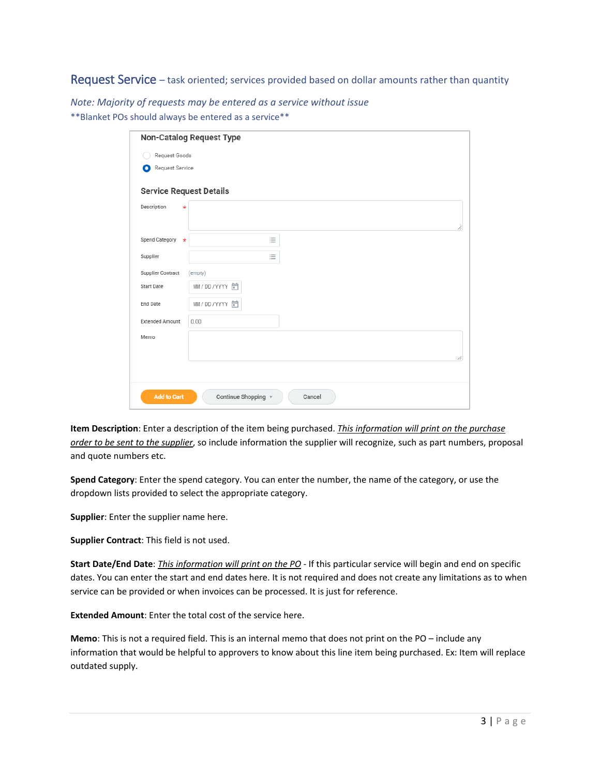Request Service – task oriented; services provided based on dollar amounts rather than quantity

*Note: Majority of requests may be entered as a service without issue* \*\*Blanket POs should always be entered as a service\*\*

|                                | <b>Non-Catalog Request Type</b> |
|--------------------------------|---------------------------------|
| Request Goods                  |                                 |
| Request Service<br>о           |                                 |
| <b>Service Request Details</b> |                                 |
| Description<br>$\star$         | h                               |
| Spend Category<br>$\star$      | 這                               |
| Supplier                       | 三                               |
| <b>Supplier Contract</b>       | (empty)                         |
| <b>Start Date</b>              | MM/DD/YYYY 同                    |
| End Date                       | MM/DD/YYYY 户                    |
| <b>Extended Amount</b>         | 0.00                            |
| Memo                           |                                 |
|                                | h                               |
| <b>Add to Cart</b>             | Continue Shopping v<br>Cancel   |

**Item Description**: Enter a description of the item being purchased. *This information will print on the purchase order to be sent to the supplier*, so include information the supplier will recognize, such as part numbers, proposal and quote numbers etc.

**Spend Category**: Enter the spend category. You can enter the number, the name of the category, or use the dropdown lists provided to select the appropriate category.

**Supplier**: Enter the supplier name here.

**Supplier Contract**: This field is not used.

**Start Date/End Date**: *This information will print on the PO* - If this particular service will begin and end on specific dates. You can enter the start and end dates here. It is not required and does not create any limitations as to when service can be provided or when invoices can be processed. It is just for reference.

**Extended Amount**: Enter the total cost of the service here.

**Memo**: This is not a required field. This is an internal memo that does not print on the PO – include any information that would be helpful to approvers to know about this line item being purchased. Ex: Item will replace outdated supply.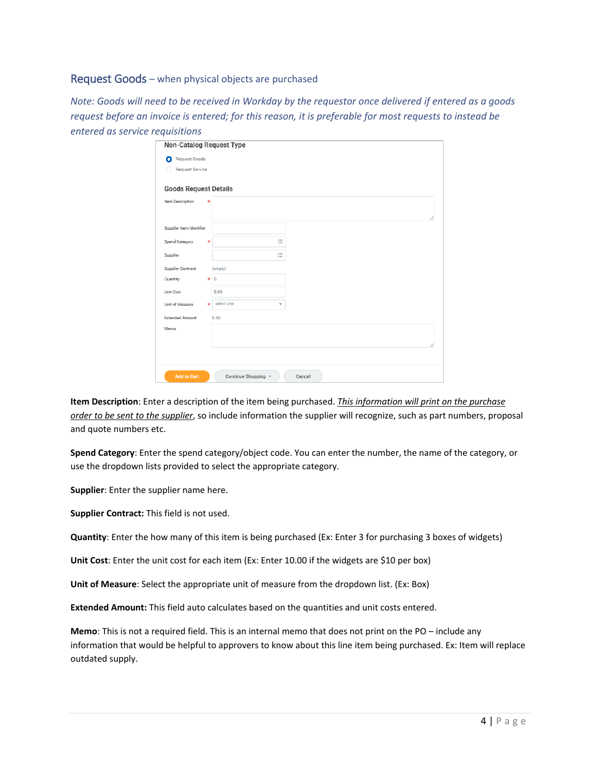#### Request Goods – when physical objects are purchased

*Note: Goods will need to be received in Workday by the requestor once delivered if entered as a goods request before an invoice is entered; for this reason, it is preferable for most requests to instead be entered as service requisitions*

|                              | Non-Catalog Request Type      |  |
|------------------------------|-------------------------------|--|
| Request Goods<br>Ω           |                               |  |
| Request Service              |                               |  |
| <b>Goods Request Details</b> |                               |  |
| Item Description             | $^\star$                      |  |
| Supplier Item Identifier     |                               |  |
| Spend Category               | 三<br>$\star$                  |  |
| Supplier                     | 三                             |  |
| Supplier Contract            | (empty)                       |  |
| Quantity                     | $\circ$<br>$\star$            |  |
| Unit Cost                    | 0.00                          |  |
| Unit of Measure              | select one<br>$\star$<br>÷.   |  |
| <b>Extended Amount</b>       | 0.00                          |  |
| Memo                         |                               |  |
|                              |                               |  |
|                              |                               |  |
|                              |                               |  |
| <b>Add to Cart</b>           | Continue Shopping v<br>Cancel |  |

**Item Description**: Enter a description of the item being purchased. *This information will print on the purchase order to be sent to the supplier*, so include information the supplier will recognize, such as part numbers, proposal and quote numbers etc.

**Spend Category**: Enter the spend category/object code. You can enter the number, the name of the category, or use the dropdown lists provided to select the appropriate category.

**Supplier**: Enter the supplier name here.

**Supplier Contract:** This field is not used.

**Quantity**: Enter the how many of this item is being purchased (Ex: Enter 3 for purchasing 3 boxes of widgets)

**Unit Cost**: Enter the unit cost for each item (Ex: Enter 10.00 if the widgets are \$10 per box)

**Unit of Measure**: Select the appropriate unit of measure from the dropdown list. (Ex: Box)

**Extended Amount:** This field auto calculates based on the quantities and unit costs entered.

**Memo**: This is not a required field. This is an internal memo that does not print on the PO – include any information that would be helpful to approvers to know about this line item being purchased. Ex: Item will replace outdated supply.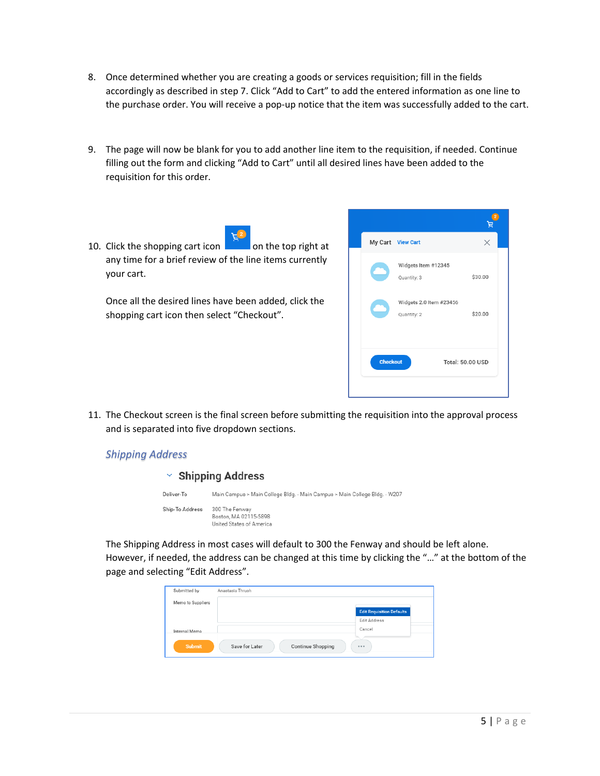- 8. Once determined whether you are creating a goods or services requisition; fill in the fields accordingly as described in step 7. Click "Add to Cart" to add the entered information as one line to the purchase order. You will receive a pop-up notice that the item was successfully added to the cart.
- 9. The page will now be blank for you to add another line item to the requisition, if needed. Continue filling out the form and clicking "Add to Cart" until all desired lines have been added to the requisition for this order.
- 10. Click the shopping cart icon on the top right at any time for a brief review of the line items currently your cart.

Once all the desired lines have been added, click the shopping cart icon then select "Checkout".



11. The Checkout screen is the final screen before submitting the requisition into the approval process and is separated into five dropdown sections.

## *Shipping Address*

| $\vee$ Shipping Address |                                                                            |  |  |  |
|-------------------------|----------------------------------------------------------------------------|--|--|--|
| Deliver-To              | Main Campus > Main College Bldg. - Main Campus > Main College Bldg. - W207 |  |  |  |
| Ship-To Address         | 300 The Fenway<br>Boston, MA 02115-5898<br>United States of America        |  |  |  |

The Shipping Address in most cases will default to 300 the Fenway and should be left alone. However, if needed, the address can be changed at this time by clicking the "…" at the bottom of the page and selecting "Edit Address".

| Submitted by      | Anastasia Thrush                           |                                  |
|-------------------|--------------------------------------------|----------------------------------|
| Memo to Suppliers |                                            |                                  |
|                   |                                            | <b>Edit Requisition Defaults</b> |
|                   |                                            | <b>Edit Address</b>              |
| Internal Memo     |                                            | Cancel                           |
| <b>Submit</b>     | Save for Later<br><b>Continue Shopping</b> | 0.0.0                            |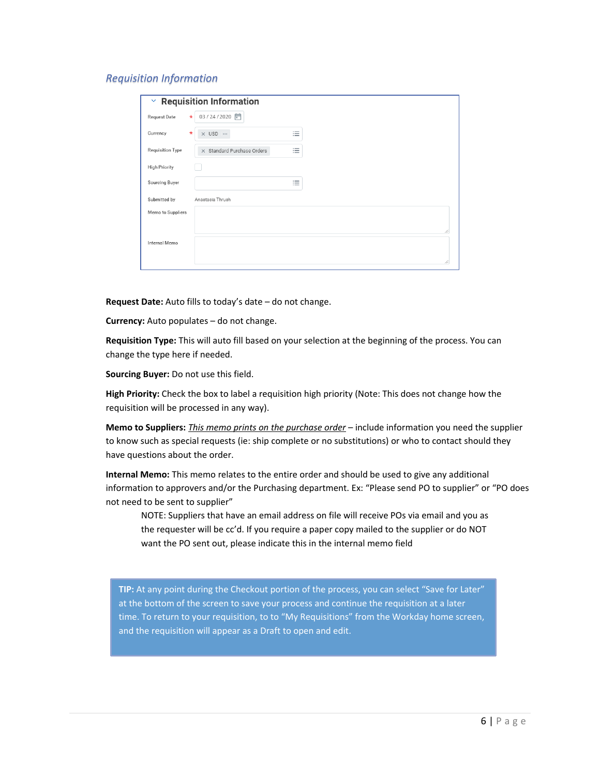#### *Requisition Information*

| 03/24/2020 同<br>Request Date<br>$\star$<br>$\overline{\phantom{a}}$<br>Currency<br>$\times$ USD $\cdots$<br>$\ast$<br>$:=$ |
|----------------------------------------------------------------------------------------------------------------------------|
|                                                                                                                            |
|                                                                                                                            |
| $\overline{\phantom{a}}$<br>Requisition Type<br>X Standard Purchase Orders<br>≔                                            |
| <b>High Priority</b>                                                                                                       |
| $\overline{\phantom{a}}$<br>Sourcing Buyer<br>≔                                                                            |
| Submitted by<br>Anastasia Thrush                                                                                           |
| Memo to Suppliers                                                                                                          |
|                                                                                                                            |
| Internal Memo                                                                                                              |
|                                                                                                                            |

**Request Date:** Auto fills to today's date – do not change.

**Currency:** Auto populates – do not change.

**Requisition Type:** This will auto fill based on your selection at the beginning of the process. You can change the type here if needed.

**Sourcing Buyer:** Do not use this field.

**High Priority:** Check the box to label a requisition high priority (Note: This does not change how the requisition will be processed in any way).

**Memo to Suppliers:** *This memo prints on the purchase order* – include information you need the supplier to know such as special requests (ie: ship complete or no substitutions) or who to contact should they have questions about the order.

**Internal Memo:** This memo relates to the entire order and should be used to give any additional information to approvers and/or the Purchasing department. Ex: "Please send PO to supplier" or "PO does not need to be sent to supplier"

NOTE: Suppliers that have an email address on file will receive POs via email and you as the requester will be cc'd. If you require a paper copy mailed to the supplier or do NOT want the PO sent out, please indicate this in the internal memo field

**TIP:** At any point during the Checkout portion of the process, you can select "Save for Later" at the bottom of the screen to save your process and continue the requisition at a later time. To return to your requisition, to to "My Requisitions" from the Workday home screen, and the requisition will appear as a Draft to open and edit.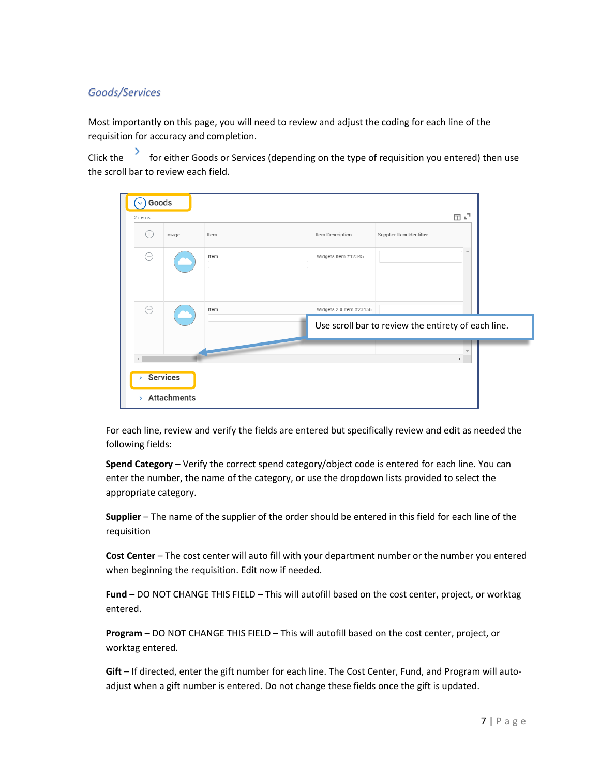# *Goods/Services*

Most importantly on this page, you will need to review and adjust the coding for each line of the requisition for accuracy and completion.

Click the for either Goods or Services (depending on the type of requisition you entered) then use the scroll bar to review each field.

| Goods<br>2 items |                                       |      |                         | $\square$ $\mathbf{L}^{\mathsf{T}}$                 |                          |  |
|------------------|---------------------------------------|------|-------------------------|-----------------------------------------------------|--------------------------|--|
| Œ                | Image                                 | Item | Item Description        | Supplier Item Identifier                            |                          |  |
| ⊝                |                                       | Item | Widgets Item #12345     |                                                     |                          |  |
| ⊝                |                                       | Item | Widgets 2.0 Item #23456 |                                                     |                          |  |
|                  |                                       |      |                         | Use scroll bar to review the entirety of each line. |                          |  |
|                  |                                       |      |                         | Þ.                                                  | $\overline{\phantom{a}}$ |  |
| $\mathbf{S}$     | <b>Services</b><br><b>Attachments</b> |      |                         |                                                     |                          |  |

For each line, review and verify the fields are entered but specifically review and edit as needed the following fields:

**Spend Category** – Verify the correct spend category/object code is entered for each line. You can enter the number, the name of the category, or use the dropdown lists provided to select the appropriate category.

**Supplier** – The name of the supplier of the order should be entered in this field for each line of the requisition

**Cost Center** – The cost center will auto fill with your department number or the number you entered when beginning the requisition. Edit now if needed.

**Fund** – DO NOT CHANGE THIS FIELD – This will autofill based on the cost center, project, or worktag entered.

**Program** – DO NOT CHANGE THIS FIELD – This will autofill based on the cost center, project, or worktag entered.

**Gift** – If directed, enter the gift number for each line. The Cost Center, Fund, and Program will autoadjust when a gift number is entered. Do not change these fields once the gift is updated.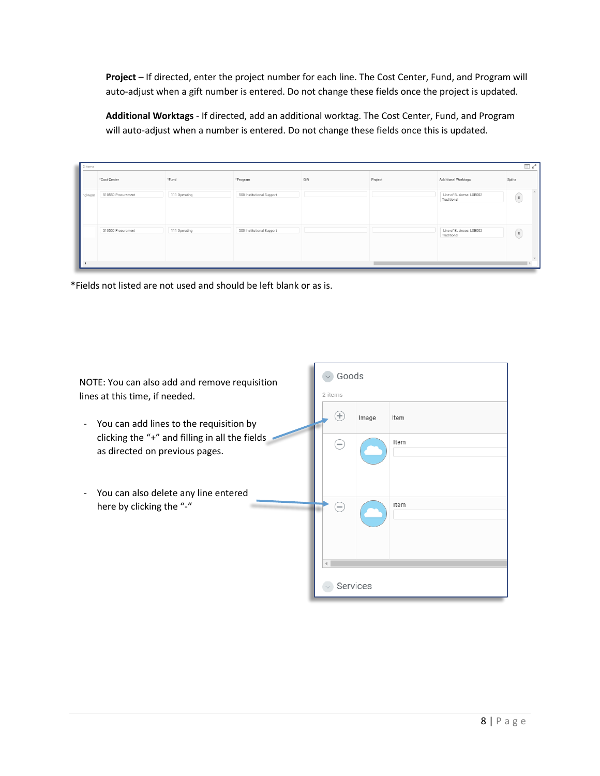**Project** – If directed, enter the project number for each line. The Cost Center, Fund, and Program will auto-adjust when a gift number is entered. Do not change these fields once the project is updated.

**Additional Worktags** - If directed, add an additional worktag. The Cost Center, Fund, and Program will auto-adjust when a number is entered. Do not change these fields once this is updated.

|         | *Cost Center       | *Fund         |                           |      |         |                                         |                                                 |
|---------|--------------------|---------------|---------------------------|------|---------|-----------------------------------------|-------------------------------------------------|
|         |                    |               | *Program                  | Gift | Project | Additional Worktags                     | Splits                                          |
| hd worn | 510550 Procurement | 111 Operating | 500 Institutional Support |      |         | Line of Business: LOB002<br>Traditional | $\left( \begin{array}{c} 0 \end{array} \right)$ |
|         | 510550 Procurement | 111 Operating | 500 Institutional Support |      |         | Line of Business: LOB002<br>Traditional | $\left( \begin{array}{c} 0 \end{array} \right)$ |

\*Fields not listed are not used and should be left blank or as is.

| NOTE: You can also add and remove requisition<br>lines at this time, if needed.           | Goods<br>2 items        |
|-------------------------------------------------------------------------------------------|-------------------------|
| You can add lines to the requisition by<br>clicking the "+" and filling in all the fields | ÷<br>Image<br>Item      |
| as directed on previous pages.                                                            | Item                    |
| You can also delete any line entered<br>here by clicking the "-"                          | Item<br>$\qquad \qquad$ |
|                                                                                           |                         |
|                                                                                           | Services                |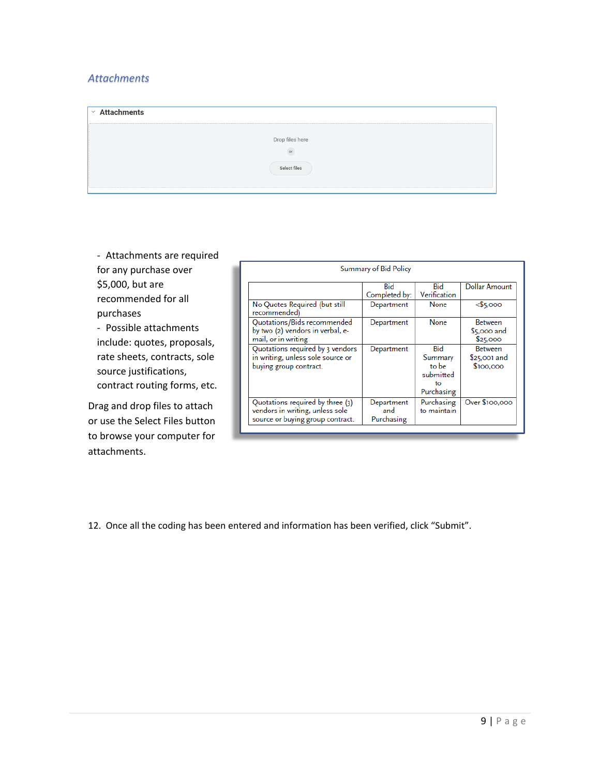# *Attachments*

| $\times$ Attachments |  |
|----------------------|--|
|                      |  |
| Drop files here      |  |
|                      |  |
| Select files         |  |
|                      |  |

- Attachments are required for any purchase over \$5,000, but are recommended for all purchases - Possible attachments include: quotes, proposals, rate sheets, contracts, sole source justifications, contract routing forms, etc.

Drag and drop files to attach or use the Select Files button to browse your computer for attachments.

| Summary of Bid Policy                                                                                   |                                 |                                                                 |                                              |  |  |  |
|---------------------------------------------------------------------------------------------------------|---------------------------------|-----------------------------------------------------------------|----------------------------------------------|--|--|--|
|                                                                                                         | Bid<br>Completed by:            | Bid<br>Verification                                             | Dollar Amount                                |  |  |  |
| No Quotes Required (but still<br>recommended)                                                           | Department                      | None                                                            | $<$ \$5,000                                  |  |  |  |
| Quotations/Bids recommended<br>by two (2) vendors in verbal, e-<br>mail, or in writing                  | Department                      | None                                                            | <b>Between</b><br>$$5,000$ and<br>\$25,000   |  |  |  |
| Quotations required by 3 vendors<br>in writing, unless sole source or<br>buying group contract.         | Department                      | <b>Bid</b><br>Summary<br>to be<br>submitted<br>to<br>Purchasing | <b>Between</b><br>$$25,001$ and<br>\$100,000 |  |  |  |
| Quotations required by three (3)<br>vendors in writing, unless sole<br>source or buying group contract. | Department<br>and<br>Purchasing | Purchasing<br>to maintain                                       | Over \$100,000                               |  |  |  |

12. Once all the coding has been entered and information has been verified, click "Submit".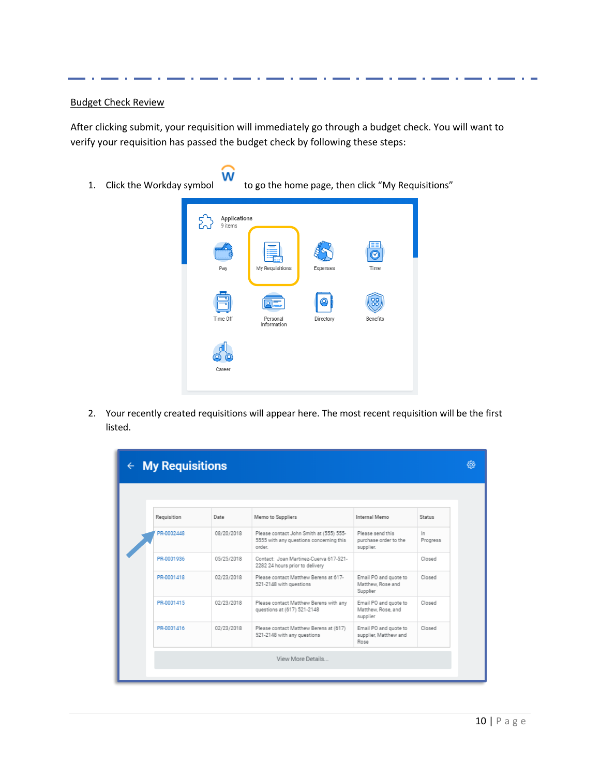### Budget Check Review

After clicking submit, your requisition will immediately go through a budget check. You will want to verify your requisition has passed the budget check by following these steps:

1. Click the Workday symbol  $\overline{w}$  to go the home page, then click "My Requisitions"



2. Your recently created requisitions will appear here. The most recent requisition will be the first listed.

| $\leftarrow$ My Requisitions |            |                                                                                              |                                                         |                 |  |
|------------------------------|------------|----------------------------------------------------------------------------------------------|---------------------------------------------------------|-----------------|--|
|                              |            |                                                                                              |                                                         |                 |  |
| Requisition                  | Date       | Memo to Suppliers                                                                            | Internal Memo                                           | <b>Status</b>   |  |
| PR-0002448                   | 08/20/2018 | Please contact John Smith at (555) 555-<br>5555 with any questions concerning this<br>order. | Please send this<br>purchase order to the<br>supplier.  | In.<br>Progress |  |
| PR-0001936                   | 05/25/2018 | Contact: Joan Martinez-Cuerva 617-521-<br>2282 24 hours prior to delivery                    |                                                         | Closed          |  |
| PR-0001418                   | 02/23/2018 | Please contact Matthew Berens at 617-<br>521-2148 with questions                             | Email PO and quote to<br>Matthew, Rose and<br>Supplier  | Closed          |  |
| PR-0001415                   | 02/23/2018 | Please contact Matthew Berens with any<br>questions at (617) 521-2148                        | Email PO and quote to<br>Matthew, Rose, and<br>supplier | Closed          |  |
| PR-0001416                   | 02/23/2018 | Please contact Matthew Berens at (617)<br>521-2148 with any questions                        | Email PO and quote to<br>supplier, Matthew and<br>Rose  | Closed          |  |
| View More Details            |            |                                                                                              |                                                         |                 |  |
|                              |            |                                                                                              |                                                         |                 |  |